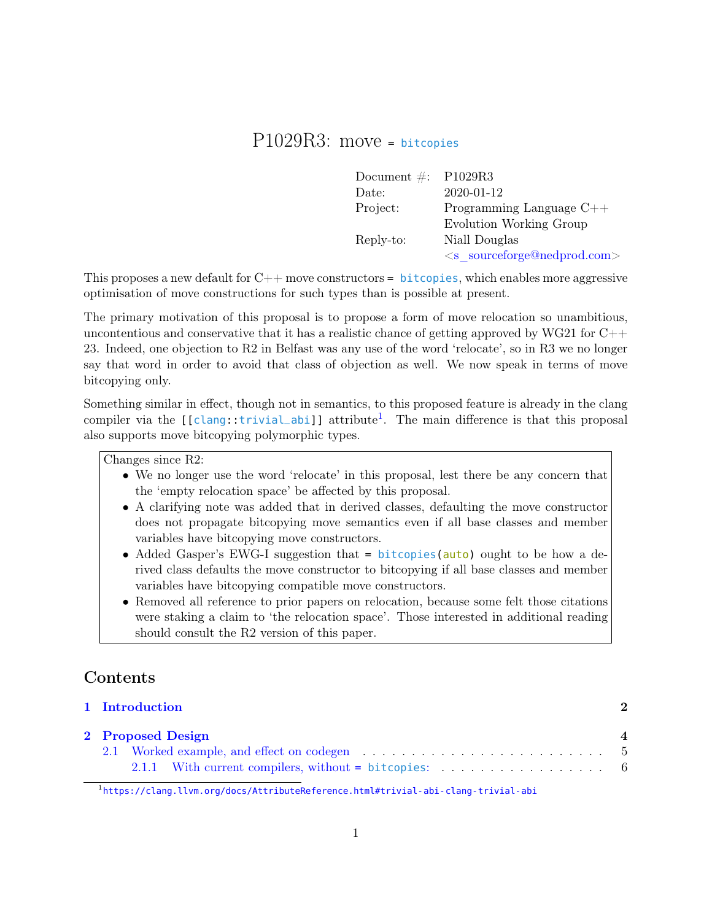# P1029R3: move <sup>=</sup> bitcopies

| Document $\#$ : P1029R3 |                                   |
|-------------------------|-----------------------------------|
| Date:                   | 2020-01-12                        |
| Project:                | Programming Language $C++$        |
|                         | Evolution Working Group           |
| Reply-to:               | Niall Douglas                     |
|                         | $\leq$ s sourceforge@nedprod.com> |

This proposes a new default for  $C++$  move constructors = bitcopies, which enables more aggressive optimisation of move constructions for such types than is possible at present.

The primary motivation of this proposal is to propose a form of move relocation so unambitious, uncontentious and conservative that it has a realistic chance of getting approved by WG21 for  $C++$ 23. Indeed, one objection to R2 in Belfast was any use of the word 'relocate', so in R3 we no longer say that word in order to avoid that class of objection as well. We now speak in terms of move bitcopying only.

Something similar in effect, though not in semantics, to this proposed feature is already in the clang compiler via the [[clang::trivial\_abi]] attribute<sup>[1](#page-0-0)</sup>. The main difference is that this proposal also supports move bitcopying polymorphic types.

Changes since R2:

- We no longer use the word 'relocate' in this proposal, lest there be any concern that the 'empty relocation space' be affected by this proposal.
- A clarifying note was added that in derived classes, defaulting the move constructor does not propagate bitcopying move semantics even if all base classes and member variables have bitcopying move constructors.
- Added Gasper's EWG-I suggestion that = bitcopies(auto) ought to be how a derived class defaults the move constructor to bitcopying if all base classes and member variables have bitcopying compatible move constructors.
- Removed all reference to prior papers on relocation, because some felt those citations were staking a claim to 'the relocation space'. Those interested in additional reading should consult the R2 version of this paper.

# Contents

|                   |  | 1 Introduction                                                                       |  |
|-------------------|--|--------------------------------------------------------------------------------------|--|
| 2 Proposed Design |  |                                                                                      |  |
|                   |  | 2.1 Worked example, and effect on codegen entertainment in the set of the set of $5$ |  |
|                   |  |                                                                                      |  |

<span id="page-0-0"></span><sup>1</sup> <https://clang.llvm.org/docs/AttributeReference.html#trivial-abi-clang-trivial-abi>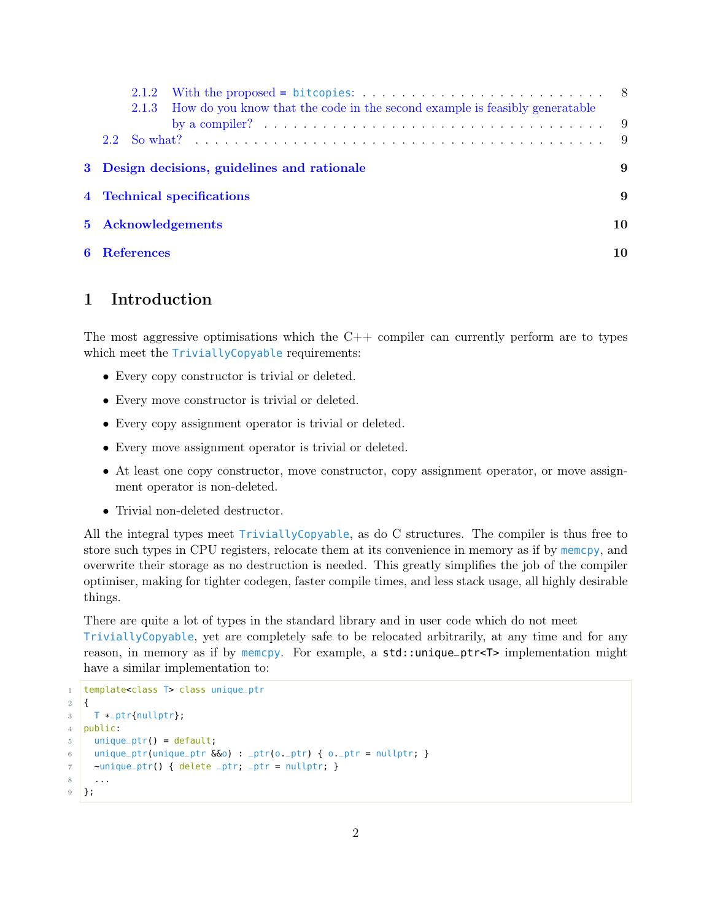| 2.1.3 How do you know that the code in the second example is feasibly generatable                    |    |
|------------------------------------------------------------------------------------------------------|----|
| by a compiler? $\ldots \ldots \ldots \ldots \ldots \ldots \ldots \ldots \ldots \ldots \ldots \ldots$ |    |
|                                                                                                      |    |
| 3 Design decisions, guidelines and rationale                                                         | 9  |
| 4 Technical specifications                                                                           | 9  |
| 5 Acknowledgements                                                                                   | 10 |
| <b>6</b> References                                                                                  | 10 |

## <span id="page-1-0"></span>1 Introduction

The most aggressive optimisations which the  $C++$  compiler can currently perform are to types which meet the TriviallyCopyable requirements:

- Every copy constructor is trivial or deleted.
- Every move constructor is trivial or deleted.
- Every copy assignment operator is trivial or deleted.
- Every move assignment operator is trivial or deleted.
- At least one copy constructor, move constructor, copy assignment operator, or move assignment operator is non-deleted.
- Trivial non-deleted destructor.

All the integral types meet TriviallyCopyable, as do C structures. The compiler is thus free to store such types in CPU registers, relocate them at its convenience in memory as if by memcpy, and overwrite their storage as no destruction is needed. This greatly simplifies the job of the compiler optimiser, making for tighter codegen, faster compile times, and less stack usage, all highly desirable things.

There are quite a lot of types in the standard library and in user code which do not meet TriviallyCopyable, yet are completely safe to be relocated arbitrarily, at any time and for any reason, in memory as if by memopy. For example, a std::unique\_ptr<T> implementation might have a similar implementation to:

```
1 | template<class T> class unique_ptr
2 \mid \{3 T *
_ptr{nullptr};
4 public:
5 unique_ptr() = default;
6 unique_ptr(unique_ptr &0) : _ptr(o._ptr) { o._ptr = nullptr; }
7 \simunique_ptr() { delete _ptr; _ptr = nullptr; }
8 ...
9 };
```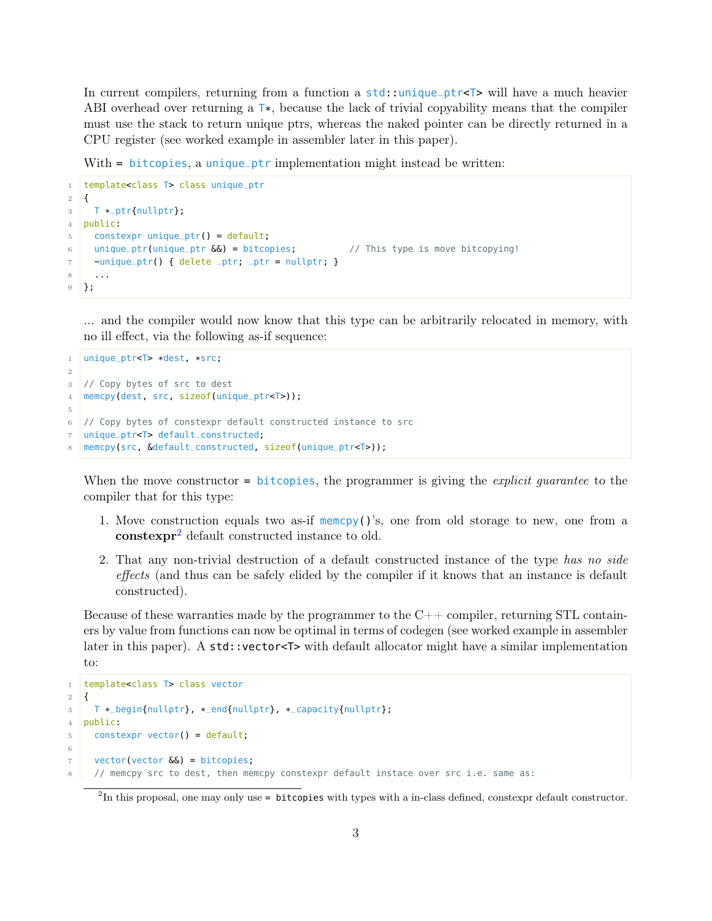In current compilers, returning from a function a std::unique\_ptr<T> will have a much heavier ABI overhead over returning a  $T^*$ , because the lack of trivial copyability means that the compiler must use the stack to return unique ptrs, whereas the naked pointer can be directly returned in a CPU register (see worked example in assembler later in this paper).

With = bitcopies, a unique\_ptr implementation might instead be written:

```
1 template<class T> class unique_ptr
2 \mid \{3 T *
_ptr{nullptr};
4 public:
5 constexpr unique_ptr() = default;
6 unique_ptr(unique_ptr \delta \delta) = bitcopies; // This type is move bitcopying!
7 \simunique_ptr() { delete _ptr; _ptr = nullptr; }
8 ...
9 };
```
... and the compiler would now know that this type can be arbitrarily relocated in memory, with no ill effect, via the following as-if sequence:

```
1 unique_ptr<T> *dest, *src;
2
3 // Copy bytes of src to dest
4 | memcpy(dest, src, sizeof(unique_ptr<T>));
5
6 // Copy bytes of constexpr default constructed instance to src
  unique_ptr<T> default_constructed;
   memcpy(src, &default_constructed, sizeof(unique_ptr<T>));
```
When the move constructor =  $b$ itcopies, the programmer is giving the *explicit quarantee* to the compiler that for this type:

- 1. Move construction equals two as-if memoral ()'s, one from old storage to new, one from a constexpr<sup>[2](#page-2-0)</sup> default constructed instance to old.
- 2. That any non-trivial destruction of a default constructed instance of the type has no side effects (and thus can be safely elided by the compiler if it knows that an instance is default constructed).

Because of these warranties made by the programmer to the  $C++$  compiler, returning STL containers by value from functions can now be optimal in terms of codegen (see worked example in assembler later in this paper). A std::vector<T> with default allocator might have a similar implementation to:

```
1 template<class T> class vector
2 \mid \{3 T *
_begin{nullptr}, *
_end{nullptr}, *
_capacity{nullptr};
4 public:
5 constexpr vector() = default;
6
7 vector(vector \delta\delta) = bitcopies;
     // memcpy src to dest, then memcpy constexpr default instace over src i.e. same as:
```
<span id="page-2-0"></span> $^{2}$ In this proposal, one may only use = **bitcopies** with types with a in-class defined, constexpr default constructor.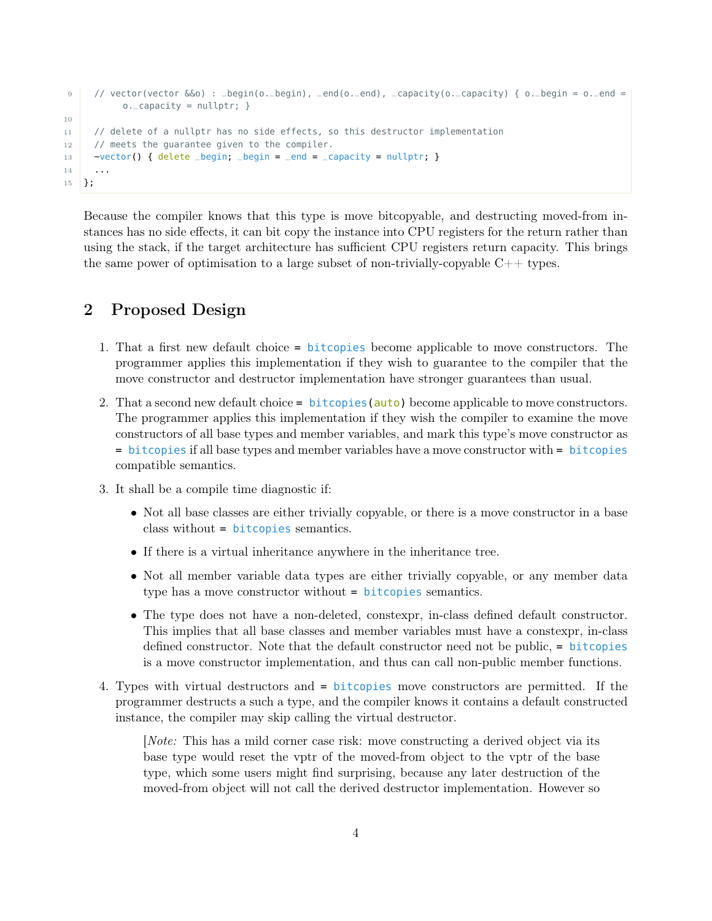```
9 // vector(vector &&o) : _begin(o._begin), _end(o._end), _capacity(o._capacity) { o._begin = o._end =
          o._capacity = nullptr; }
10
11 // delete of a nullptr has no side effects, so this destructor implementation
12 // meets the quarantee given to the compiler.
13 \rightarrow vector() { delete _begin; _begin = _end = _capacity = nullptr; }
1415 };
```
Because the compiler knows that this type is move bitcopyable, and destructing moved-from instances has no side effects, it can bit copy the instance into CPU registers for the return rather than using the stack, if the target architecture has sufficient CPU registers return capacity. This brings the same power of optimisation to a large subset of non-trivially-copyable  $C++$  types.

## <span id="page-3-0"></span>2 Proposed Design

- 1. That a first new default choice = bitcopies become applicable to move constructors. The programmer applies this implementation if they wish to guarantee to the compiler that the move constructor and destructor implementation have stronger guarantees than usual.
- 2. That a second new default choice  $=$  bitcopies ( $\frac{auto}{auto}$ ) become applicable to move constructors. The programmer applies this implementation if they wish the compiler to examine the move constructors of all base types and member variables, and mark this type's move constructor as = bitcopies if all base types and member variables have a move constructor with = bitcopies compatible semantics.
- 3. It shall be a compile time diagnostic if:
	- Not all base classes are either trivially copyable, or there is a move constructor in a base class without = bitcopies semantics.
	- If there is a virtual inheritance anywhere in the inheritance tree.
	- Not all member variable data types are either trivially copyable, or any member data type has a move constructor without = **bitcopies** semantics.
	- The type does not have a non-deleted, constexpr, in-class defined default constructor. This implies that all base classes and member variables must have a constexpr, in-class defined constructor. Note that the default constructor need not be public, = bitcopies is a move constructor implementation, and thus can call non-public member functions.
- 4. Types with virtual destructors and = bitcopies move constructors are permitted. If the programmer destructs a such a type, and the compiler knows it contains a default constructed instance, the compiler may skip calling the virtual destructor.

[Note: This has a mild corner case risk: move constructing a derived object via its base type would reset the vptr of the moved-from object to the vptr of the base type, which some users might find surprising, because any later destruction of the moved-from object will not call the derived destructor implementation. However so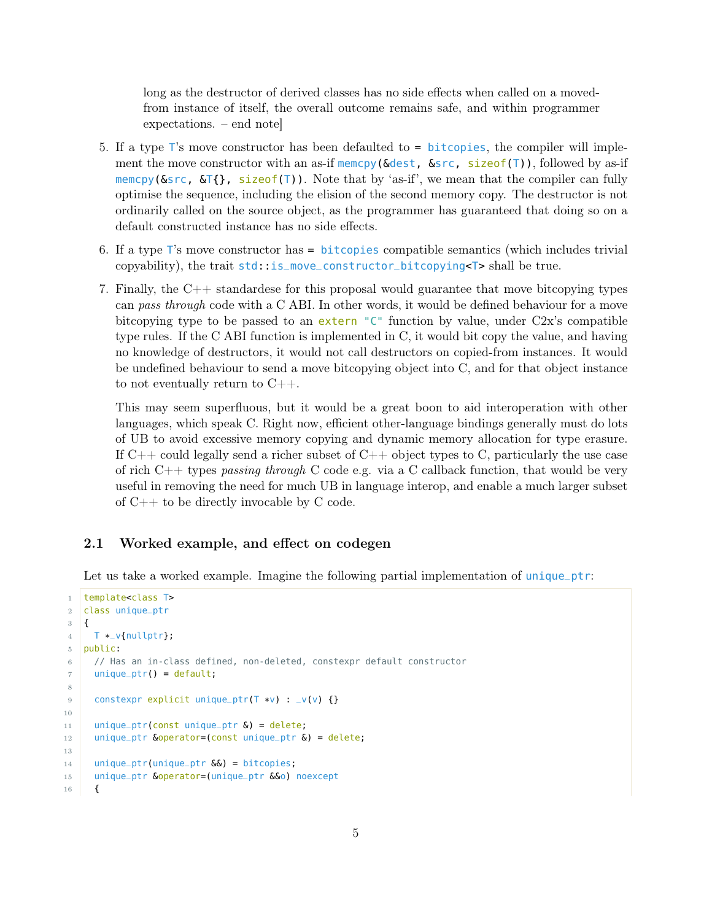long as the destructor of derived classes has no side effects when called on a movedfrom instance of itself, the overall outcome remains safe, and within programmer expectations. – end note]

- 5. If a type T's move constructor has been defaulted to = bitcopies, the compiler will implement the move constructor with an as-if memcpy( $\&$ dest,  $\&$ src, sizeof(T)), followed by as-if memcpy(&src, &T{}, sizeof(T)). Note that by 'as-if', we mean that the compiler can fully optimise the sequence, including the elision of the second memory copy. The destructor is not ordinarily called on the source object, as the programmer has guaranteed that doing so on a default constructed instance has no side effects.
- 6. If a type T's move constructor has = bitcopies compatible semantics (which includes trivial copyability), the trait std::is\_move\_constructor\_bitcopying<T> shall be true.
- 7. Finally, the C++ standardese for this proposal would guarantee that move bitcopying types can pass through code with a C ABI. In other words, it would be defined behaviour for a move bitcopying type to be passed to an extern  $C^{\dagger}$  function by value, under C2x's compatible type rules. If the C ABI function is implemented in C, it would bit copy the value, and having no knowledge of destructors, it would not call destructors on copied-from instances. It would be undefined behaviour to send a move bitcopying object into C, and for that object instance to not eventually return to  $C_{++}$ .

This may seem superfluous, but it would be a great boon to aid interoperation with other languages, which speak C. Right now, efficient other-language bindings generally must do lots of UB to avoid excessive memory copying and dynamic memory allocation for type erasure. If  $C++$  could legally send a richer subset of  $C++$  object types to C, particularly the use case of rich C++ types passing through C code e.g. via a C callback function, that would be very useful in removing the need for much UB in language interop, and enable a much larger subset of C++ to be directly invocable by C code.

### <span id="page-4-0"></span>2.1 Worked example, and effect on codegen

Let us take a worked example. Imagine the following partial implementation of unique\_ptr:

```
1 template<class T>
2 class unique_ptr
3 {
4 T \ast_v{nullptr};
5 public:
6 // Has an in-class defined, non-deleted, constexpr default constructor
7 unique_ptr() = default;
8
9 constexpr explicit unique_ptr(T *v) : _v(v) {}
10
11 unique_ptr(const unique_ptr \delta) = delete;
12 | unique_ptr \deltaoperator=(const unique_ptr \delta) = delete;
13
14 unique_ptr(unique_ptr \delta\delta) = bitcopies;
15 unique_ptr &operator=(unique_ptr &&o) noexcept
16 {
```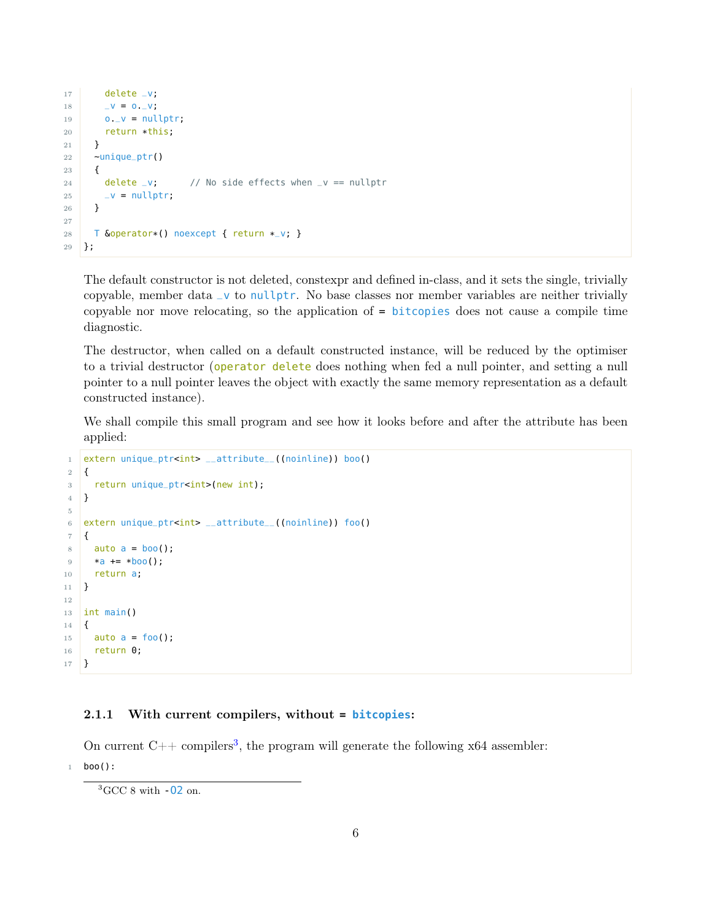```
17 delete _v;
18 -V = 0. V;19 o._v = nullptr;
20 return *this;
21 }
22 \simunique_ptr()
23 {
24 delete _v; // No side effects when _v == nullptr
25 \qquad \qquad \qquad \qquad \qquad \qquad \qquad \qquad \qquad \qquad \qquad \qquad \qquad \qquad \qquad \qquad \qquad \qquad \qquad \qquad \qquad \qquad \qquad \qquad \qquad \qquad \qquad \qquad \qquad \qquad \qquad \qquad \qquad \qquad \qquad \qquad 
26 }
27
28 | T &operator*() noexcept { return *_v; }
29 };
```
The default constructor is not deleted, constexpr and defined in-class, and it sets the single, trivially copyable, member data  $\vee$  to nullptr. No base classes nor member variables are neither trivially copyable nor move relocating, so the application of = bitcopies does not cause a compile time diagnostic.

The destructor, when called on a default constructed instance, will be reduced by the optimiser to a trivial destructor (operator delete does nothing when fed a null pointer, and setting a null pointer to a null pointer leaves the object with exactly the same memory representation as a default constructed instance).

We shall compile this small program and see how it looks before and after the attribute has been applied:

```
1 extern unique_ptr<int> __attribute__((noinline)) boo()
2 \mid \{3 return unique_ptr<int>(new int);
4 }
5
6 extern unique_ptr<int> __attribute__((noinline)) foo()
7 \mid \{8 auto a = boo();
9 \times a \div = *boo();
10 return a;
11 }
12
13 int main()
14 \mid \{15 auto a = foo();
16 return 0;
17 }
```
#### <span id="page-5-0"></span>2.1.1 With current compilers, without **= bitcopies**:

On current  $C_{++}$  compilers<sup>[3](#page-5-1)</sup>, the program will generate the following x64 assembler:

1 boo():

<span id="page-5-1"></span> ${}^{3}$ GCC 8 with  $-02$  on.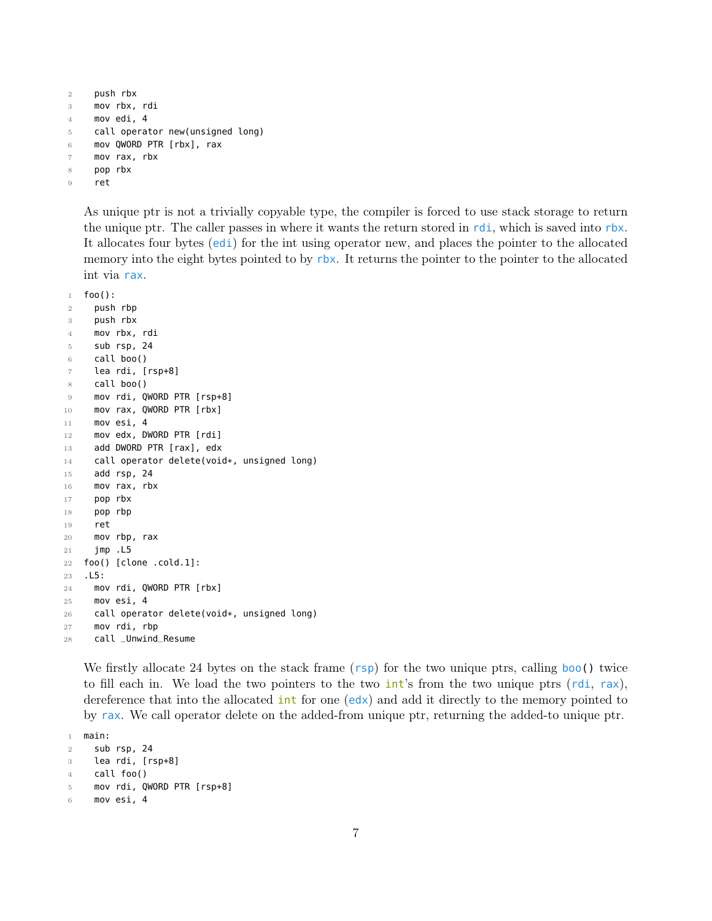```
2 push rbx
3 mov rbx, rdi
4 mov edi, 4
5 call operator new(unsigned long)
6 mov QWORD PTR [rbx], rax
7 mov rax, rbx
8 pop rbx
9 ret
```
As unique ptr is not a trivially copyable type, the compiler is forced to use stack storage to return the unique ptr. The caller passes in where it wants the return stored in rdi, which is saved into rbx. It allocates four bytes (edi) for the int using operator new, and places the pointer to the allocated memory into the eight bytes pointed to by rbx. It returns the pointer to the pointer to the allocated int via rax.

```
1 foo():
2 push rbp
3 push rbx
4 mov rbx, rdi
5 sub rsp, 24
6 call boo()
7 lea rdi, [rsp+8]
8 call boo()
9 mov rdi, QWORD PTR [rsp+8]
10 mov rax, QWORD PTR [rbx]
11 mov esi, 4
12 mov edx, DWORD PTR [rdi]
13 add DWORD PTR [rax], edx
14 call operator delete(void*, unsigned long)
15 add rsp, 24
16 mov rax, rbx
17 pop rbx
18 pop rbp
19 ret
20 mov rbp, rax
21 jmp .L5
22 foo() [clone .cold.1]:
23 .L5:
24 mov rdi, QWORD PTR [rbx]
25 mov esi, 4
26 call operator delete(void*, unsigned long)
27 mov rdi, rbp
28 call _Unwind_Resume
```
We firstly allocate 24 bytes on the stack frame (rsp) for the two unique ptrs, calling boo() twice to fill each in. We load the two pointers to the two  $int's$  from the two unique ptrs (rdi, rax), dereference that into the allocated  $int$  for one  $(\text{ed}x)$  and add it directly to the memory pointed to by rax. We call operator delete on the added-from unique ptr, returning the added-to unique ptr.

```
1 main:
2 sub rsp, 24
3 lea rdi, [rsp+8]
4 call foo()
5 mov rdi, QWORD PTR [rsp+8]
```

```
6 mov esi, 4
```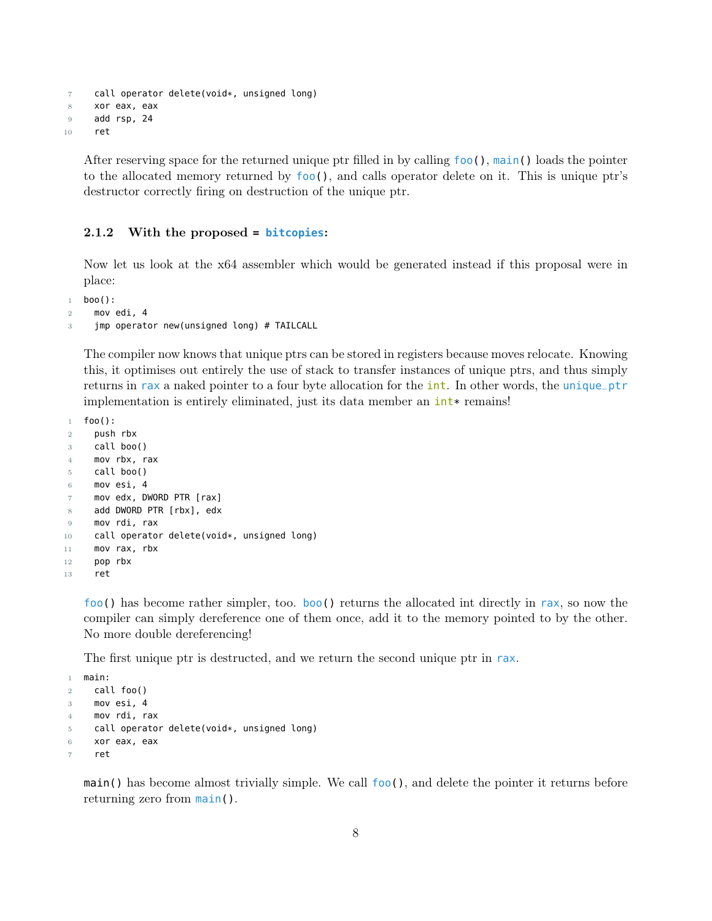```
7 call operator delete(void*, unsigned long)
8 xor eax, eax
9 add rsp, 24
10 ret
```
After reserving space for the returned unique ptr filled in by calling foo(), main() loads the pointer to the allocated memory returned by foo(), and calls operator delete on it. This is unique ptr's destructor correctly firing on destruction of the unique ptr.

#### <span id="page-7-0"></span>2.1.2 With the proposed **= bitcopies**:

Now let us look at the x64 assembler which would be generated instead if this proposal were in place:

```
1 boo():
```

```
2 mov edi, 4
```

```
3 jmp operator new(unsigned long) # TAILCALL
```
The compiler now knows that unique ptrs can be stored in registers because moves relocate. Knowing this, it optimises out entirely the use of stack to transfer instances of unique ptrs, and thus simply returns in rax a naked pointer to a four byte allocation for the **int**. In other words, the unique\_ptr implementation is entirely eliminated, just its data member an  $int*$  remains!

```
1 foo():
2 push rbx
3 call boo()
4 mov rbx, rax
5 call boo()
6 mov esi, 4
7 mov edx, DWORD PTR [rax]
8 add DWORD PTR [rbx], edx
9 mov rdi, rax
10 call operator delete(void*, unsigned long)
11 mov rax, rbx
12 pop rbx
13 ret
```
foo() has become rather simpler, too. boo() returns the allocated int directly in rax, so now the compiler can simply dereference one of them once, add it to the memory pointed to by the other. No more double dereferencing!

The first unique ptr is destructed, and we return the second unique ptr in rax.

```
1 main:
2 call foo()
3 mov esi, 4
4 mov rdi, rax
5 call operator delete(void*, unsigned long)
6 xor eax, eax
    ret
```
 $\text{main}$  () has become almost trivially simple. We call  $\text{foo}$ ), and delete the pointer it returns before returning zero from main().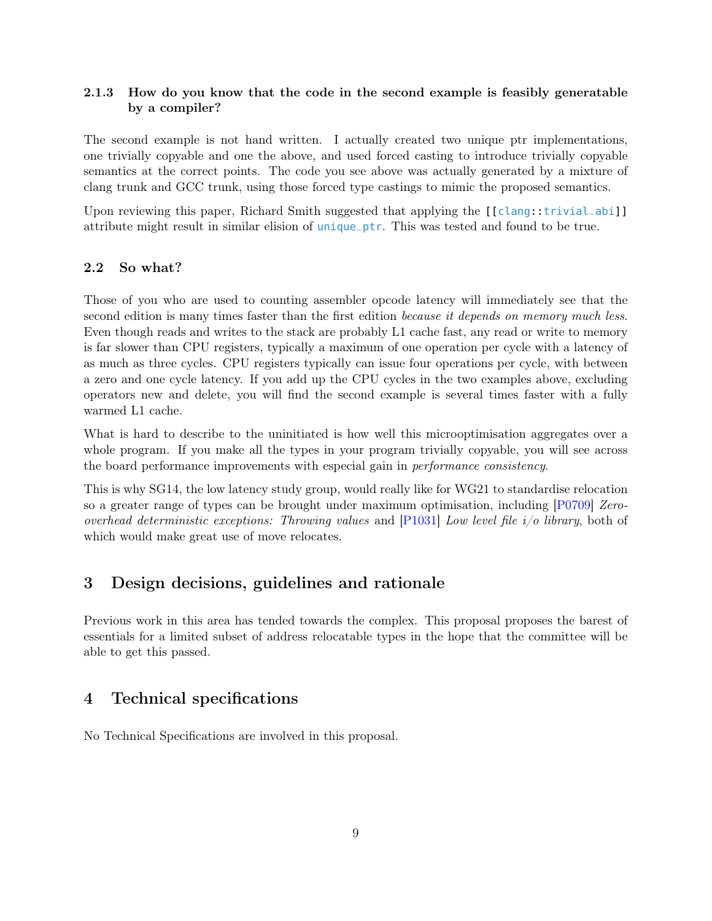### <span id="page-8-0"></span>2.1.3 How do you know that the code in the second example is feasibly generatable by a compiler?

The second example is not hand written. I actually created two unique ptr implementations, one trivially copyable and one the above, and used forced casting to introduce trivially copyable semantics at the correct points. The code you see above was actually generated by a mixture of clang trunk and GCC trunk, using those forced type castings to mimic the proposed semantics.

Upon reviewing this paper, Richard Smith suggested that applying the [[clang::trivial\_abi]] attribute might result in similar elision of unique\_ptr. This was tested and found to be true.

### <span id="page-8-1"></span>2.2 So what?

Those of you who are used to counting assembler opcode latency will immediately see that the second edition is many times faster than the first edition *because it depends on memory much less*. Even though reads and writes to the stack are probably L1 cache fast, any read or write to memory is far slower than CPU registers, typically a maximum of one operation per cycle with a latency of as much as three cycles. CPU registers typically can issue four operations per cycle, with between a zero and one cycle latency. If you add up the CPU cycles in the two examples above, excluding operators new and delete, you will find the second example is several times faster with a fully warmed L1 cache.

What is hard to describe to the uninitiated is how well this microoptimisation aggregates over a whole program. If you make all the types in your program trivially copyable, you will see across the board performance improvements with especial gain in performance consistency.

This is why SG14, the low latency study group, would really like for WG21 to standardise relocation so a greater range of types can be brought under maximum optimisation, including [\[P0709\]](#page-9-2) Zerooverhead deterministic exceptions: Throwing values and  $[P1031]$  Low level file  $i/o$  library, both of which would make great use of move relocates.

### <span id="page-8-2"></span>3 Design decisions, guidelines and rationale

Previous work in this area has tended towards the complex. This proposal proposes the barest of essentials for a limited subset of address relocatable types in the hope that the committee will be able to get this passed.

### <span id="page-8-3"></span>4 Technical specifications

No Technical Specifications are involved in this proposal.